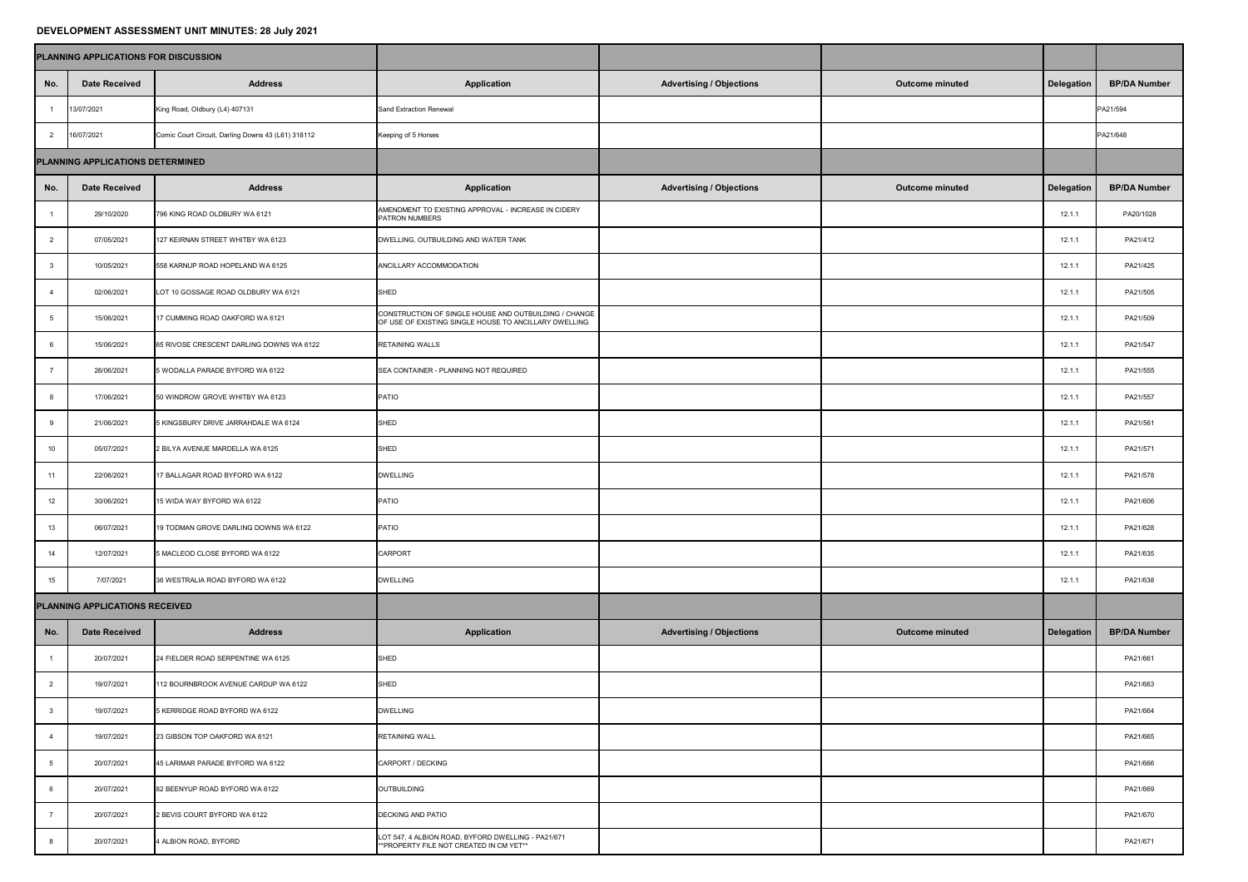## **DEVELOPMENT ASSESSMENT UNIT MINUTES: 28 July 2021**

|                                  | PLANNING APPLICATIONS FOR DISCUSSION |                                                    |                                                                                                                |                                 |                        |                   |                     |
|----------------------------------|--------------------------------------|----------------------------------------------------|----------------------------------------------------------------------------------------------------------------|---------------------------------|------------------------|-------------------|---------------------|
| No.                              | <b>Date Received</b>                 | <b>Address</b>                                     | <b>Application</b>                                                                                             | <b>Advertising / Objections</b> | Outcome minuted        | <b>Delegation</b> | <b>BP/DA Number</b> |
|                                  | 13/07/2021                           | King Road, Oldbury (L4) 407131                     | Sand Extraction Renewal                                                                                        |                                 |                        |                   | PA21/594            |
|                                  | 16/07/2021                           | Comic Court Circuit, Darling Downs 43 (L61) 318112 | Keeping of 5 Horses                                                                                            |                                 |                        |                   | PA21/648            |
| PLANNING APPLICATIONS DETERMINED |                                      |                                                    |                                                                                                                |                                 |                        |                   |                     |
| No.                              | <b>Date Received</b>                 | <b>Address</b>                                     | <b>Application</b>                                                                                             | <b>Advertising / Objections</b> | <b>Outcome minuted</b> | <b>Delegation</b> | <b>BP/DA Number</b> |
|                                  | 29/10/2020                           | 796 KING ROAD OLDBURY WA 6121                      | AMENDMENT TO EXISTING APPROVAL - INCREASE IN CIDERY<br>PATRON NUMBERS                                          |                                 |                        | 12.1.1            | PA20/1028           |
| 2                                | 07/05/2021                           | 127 KEIRNAN STREET WHITBY WA 6123                  | DWELLING, OUTBUILDING AND WATER TANK                                                                           |                                 |                        | 12.1.1            | PA21/412            |
|                                  | 10/05/2021                           | 558 KARNUP ROAD HOPELAND WA 6125                   | ANCILLARY ACCOMMODATION                                                                                        |                                 |                        | 12.1.1            | PA21/425            |
|                                  | 02/06/2021                           | LOT 10 GOSSAGE ROAD OLDBURY WA 6121                | <b>SHED</b>                                                                                                    |                                 |                        | 12.1.1            | PA21/505            |
|                                  | 15/06/2021                           | 17 CUMMING ROAD OAKFORD WA 6121                    | CONSTRUCTION OF SINGLE HOUSE AND OUTBUILDING / CHANGE<br>OF USE OF EXISTING SINGLE HOUSE TO ANCILLARY DWELLING |                                 |                        | 12.1.1            | PA21/509            |
|                                  | 15/06/2021                           | 65 RIVOSE CRESCENT DARLING DOWNS WA 6122           | <b>RETAINING WALLS</b>                                                                                         |                                 |                        | 12.1.1            | PA21/547            |
|                                  | 28/06/2021                           | 5 WODALLA PARADE BYFORD WA 6122                    | SEA CONTAINER - PLANNING NOT REQUIRED                                                                          |                                 |                        | 12.1.1            | PA21/555            |
|                                  | 17/06/2021                           | 50 WINDROW GROVE WHITBY WA 6123                    | <b>PATIO</b>                                                                                                   |                                 |                        | 12.1.1            | PA21/557            |
|                                  | 21/06/2021                           | 5 KINGSBURY DRIVE JARRAHDALE WA 6124               | <b>SHED</b>                                                                                                    |                                 |                        | 12.1.1            | PA21/561            |
| 10                               | 05/07/2021                           | 2 BILYA AVENUE MARDELLA WA 6125                    | <b>SHED</b>                                                                                                    |                                 |                        | 12.1.1            | PA21/571            |
| 11                               | 22/06/2021                           | 17 BALLAGAR ROAD BYFORD WA 6122                    | <b>DWELLING</b>                                                                                                |                                 |                        | 12.1.1            | PA21/578            |
| 12                               | 30/06/2021                           | 15 WIDA WAY BYFORD WA 6122                         | PATIO                                                                                                          |                                 |                        | 12.1.1            | PA21/606            |
| 13                               | 06/07/2021                           | 19 TODMAN GROVE DARLING DOWNS WA 6122              | PATIO                                                                                                          |                                 |                        | 12.1.1            | PA21/628            |
| 14                               | 12/07/2021                           | 5 MACLEOD CLOSE BYFORD WA 6122                     | <b>CARPORT</b>                                                                                                 |                                 |                        | 12.1.1            | PA21/635            |
| 15                               | 7/07/2021                            | 36 WESTRALIA ROAD BYFORD WA 6122                   | <b>DWELLING</b>                                                                                                |                                 |                        | 12.1.1            | PA21/638            |
| PLANNING APPLICATIONS RECEIVED   |                                      |                                                    |                                                                                                                |                                 |                        |                   |                     |
| No.                              | <b>Date Received</b>                 | <b>Address</b>                                     | <b>Application</b>                                                                                             | <b>Advertising / Objections</b> | <b>Outcome minuted</b> | <b>Delegation</b> | <b>BP/DA Number</b> |
|                                  | 20/07/2021                           | 24 FIELDER ROAD SERPENTINE WA 6125                 | <b>SHED</b>                                                                                                    |                                 |                        |                   | PA21/661            |
| $\overline{2}$                   | 19/07/2021                           | 112 BOURNBROOK AVENUE CARDUP WA 6122               | <b>SHED</b>                                                                                                    |                                 |                        |                   | PA21/663            |
|                                  | 19/07/2021                           | 5 KERRIDGE ROAD BYFORD WA 6122                     | <b>DWELLING</b>                                                                                                |                                 |                        |                   | PA21/664            |
|                                  | 19/07/2021                           | 23 GIBSON TOP OAKFORD WA 6121                      | <b>RETAINING WALL</b>                                                                                          |                                 |                        |                   | PA21/665            |
|                                  | 20/07/2021                           | 45 LARIMAR PARADE BYFORD WA 6122                   | CARPORT / DECKING                                                                                              |                                 |                        |                   | PA21/666            |
|                                  | 20/07/2021                           | 82 BEENYUP ROAD BYFORD WA 6122                     | OUTBUILDING                                                                                                    |                                 |                        |                   | PA21/669            |
|                                  | 20/07/2021                           | 2 BEVIS COURT BYFORD WA 6122                       | <b>DECKING AND PATIO</b>                                                                                       |                                 |                        |                   | PA21/670            |
|                                  | 20/07/2021                           | 4 ALBION ROAD, BYFORD                              | LOT 547, 4 ALBION ROAD, BYFORD DWELLING - PA21/671<br><b>**PROPERTY FILE NOT CREATED IN CM YET**</b>           |                                 |                        |                   | PA21/671            |